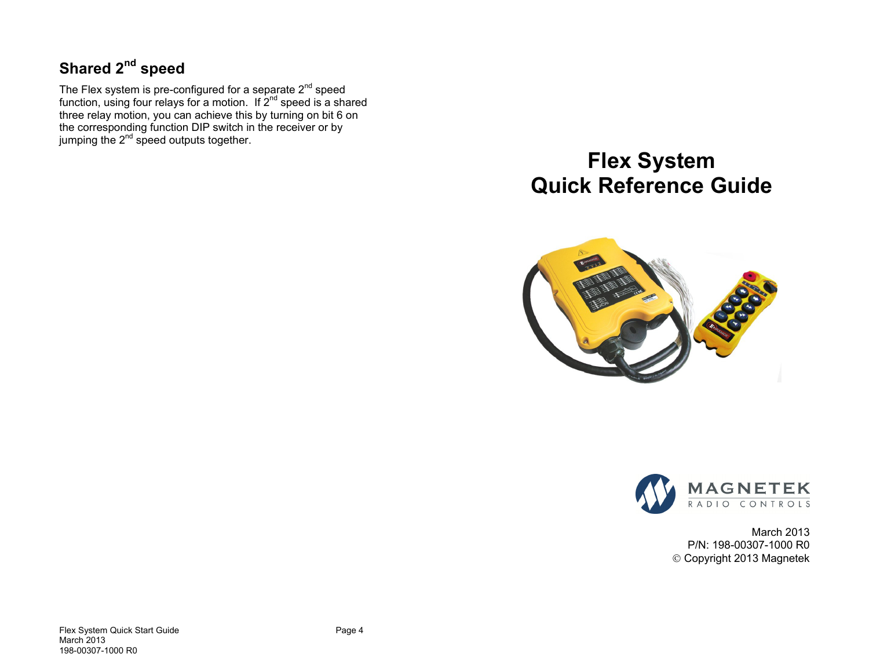## **Shared 2nd speed**

The Flex system is pre-configured for a separate  $2^{nd}$  speed function, using four relays for a motion. If  $2^{nd}$  speed is a shared three relay motion, you can achieve this by turning on bit 6 on the corresponding function DIP switch in the receiver or by jumping the 2<sup>nd</sup> speed outputs together.

# **Flex System Quick Reference Guide**





March 2013 P/N: 198-00307-1000 R0 Copyright 2013 Magnetek